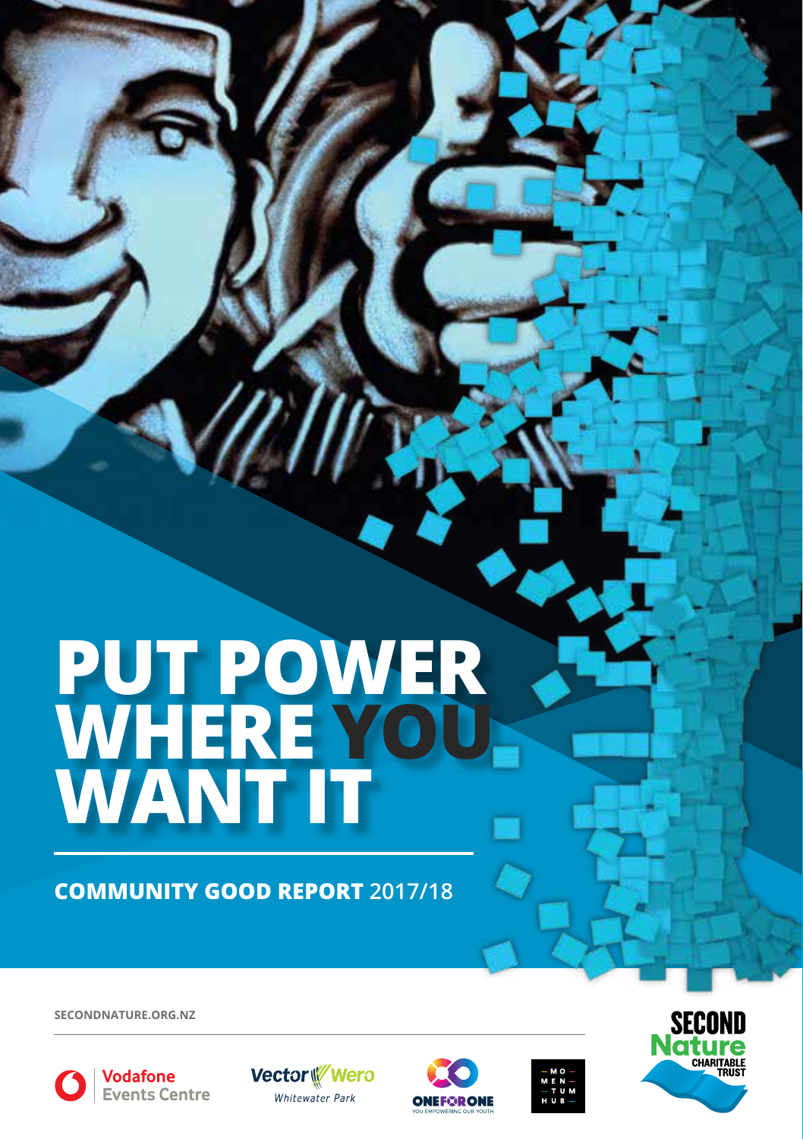# **PUT POWER WHERE YOU WANT IT**

**COMMUNITY GOOD REPORT 2017/18**

**SECONDNATURE.ORG.NZ**



Vodafone Events Centre







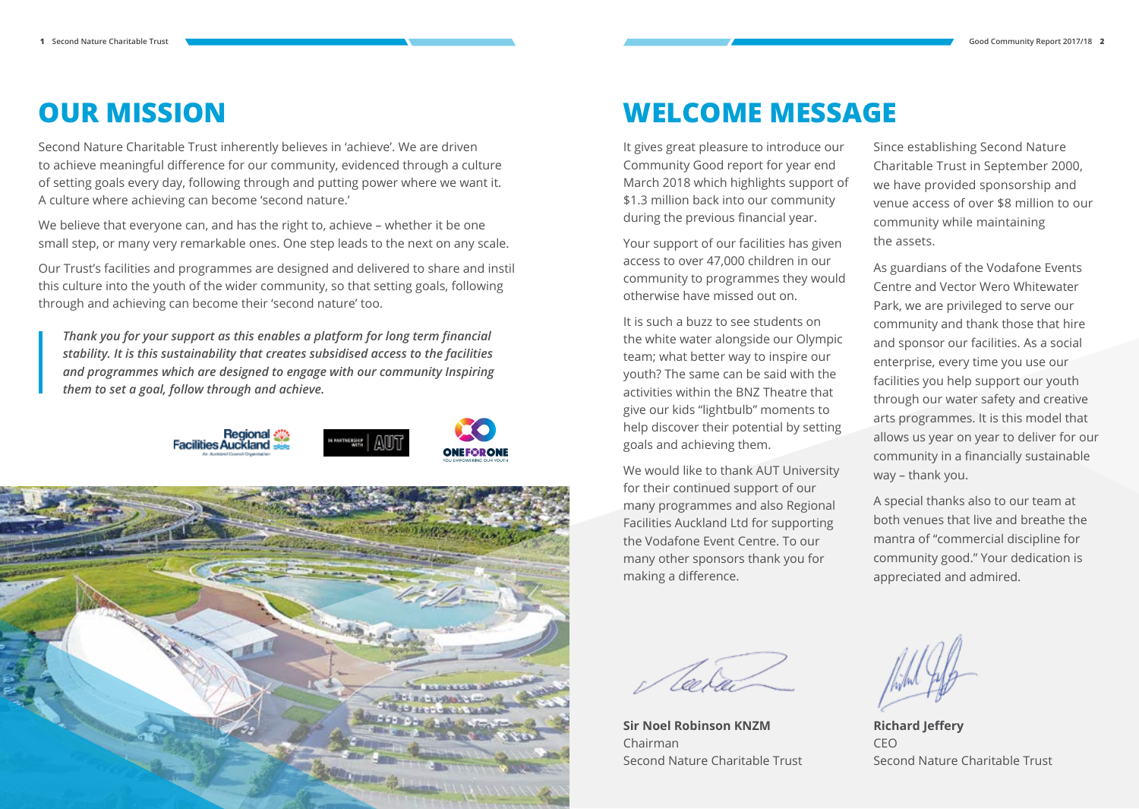## **OUR MISSION**

Second Nature Charitable Trust inherently believes in 'achieve'. We are driven to achieve meaningful difference for our community, evidenced through a culture of setting goals every day, following through and putting power where we want it. A culture where achieving can become 'second nature.'

We believe that everyone can, and has the right to, achieve – whether it be one small step, or many very remarkable ones. One step leads to the next on any scale.

Our Trust's facilities and programmes are designed and delivered to share and instil this culture into the youth of the wider community, so that setting goals, following through and achieving can become their 'second nature' too.

*Thank you for your support as this enables a platform for long term financial stability. It is this sustainability that creates subsidised access to the facilities and programmes which are designed to engage with our community Inspiring them to set a goal, follow through and achieve.*





### **WELCOME MESSAGE**

It gives great pleasure to introduce our Community Good report for year end March 2018 which highlights support of \$1.3 million back into our community during the previous financial year.

Your support of our facilities has given access to over 47,000 children in our community to programmes they would otherwise have missed out on.

It is such a buzz to see students on the white water alongside our Olympic team; what better way to inspire our youth? The same can be said with the activities within the BNZ Theatre that give our kids "lightbulb" moments to help discover their potential by setting goals and achieving them.

We would like to thank AUT University for their continued support of our many programmes and also Regional Facilities Auckland Ltd for supporting the Vodafone Event Centre. To our many other sponsors thank you for making a difference.

**Sir Noel Robinson KNZM** Chairman Second Nature Charitable Trust

Since establishing Second Nature Charitable Trust in September 2000, we have provided sponsorship and venue access of over \$8 million to our community while maintaining the assets.

As guardians of the Vodafone Events Centre and Vector Wero Whitewater Park, we are privileged to serve our community and thank those that hire and sponsor our facilities. As a social enterprise, every time you use our facilities you help support our youth through our water safety and creative arts programmes. It is this model that allows us year on year to deliver for our community in a financially sustainable way – thank you.

A special thanks also to our team at both venues that live and breathe the mantra of "commercial discipline for community good." Your dedication is appreciated and admired.

**Richard Jeffery** CEO Second Nature Charitable Trust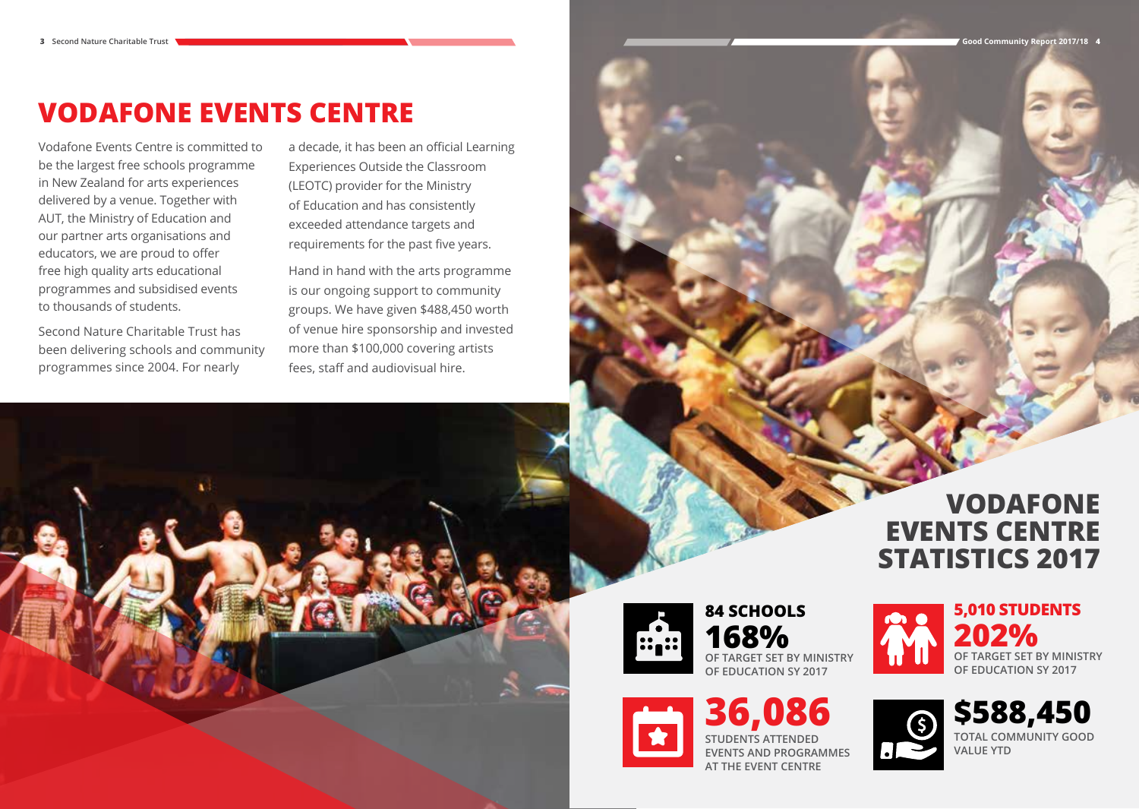# **VODAFONE EVENTS CENTRE**

Vodafone Events Centre is committed to be the largest free schools programme in New Zealand for arts experiences delivered by a venue. Together with AUT, the Ministry of Education and our partner arts organisations and educators, we are proud to offer free high quality arts educational programmes and subsidised events to thousands of students.

Second Nature Charitable Trust has been delivering schools and community programmes since 2004. For nearly

a decade, it has been an official Learning Experiences Outside the Classroom (LEOTC) provider for the Ministry of Education and has consistently exceeded attendance targets and requirements for the past five years.

Hand in hand with the arts programme is our ongoing support to community groups. We have given \$488,450 worth of venue hire sponsorship and invested more than \$100,000 covering artists fees, staff and audiovisual hire.

# **VODAFONE EVENTS CENTRE STATISTICS 2017**



**84 SCHOOLS 168% OF TARGET SET BY MINISTRY OF EDUCATION SY 2017**





**\$588,450 TOTAL COMMUNITY GOOD VALUE YTD**



**36,086 STUDENTS ATTENDED EVENTS AND PROGRAMMES AT THE EVENT CENTRE**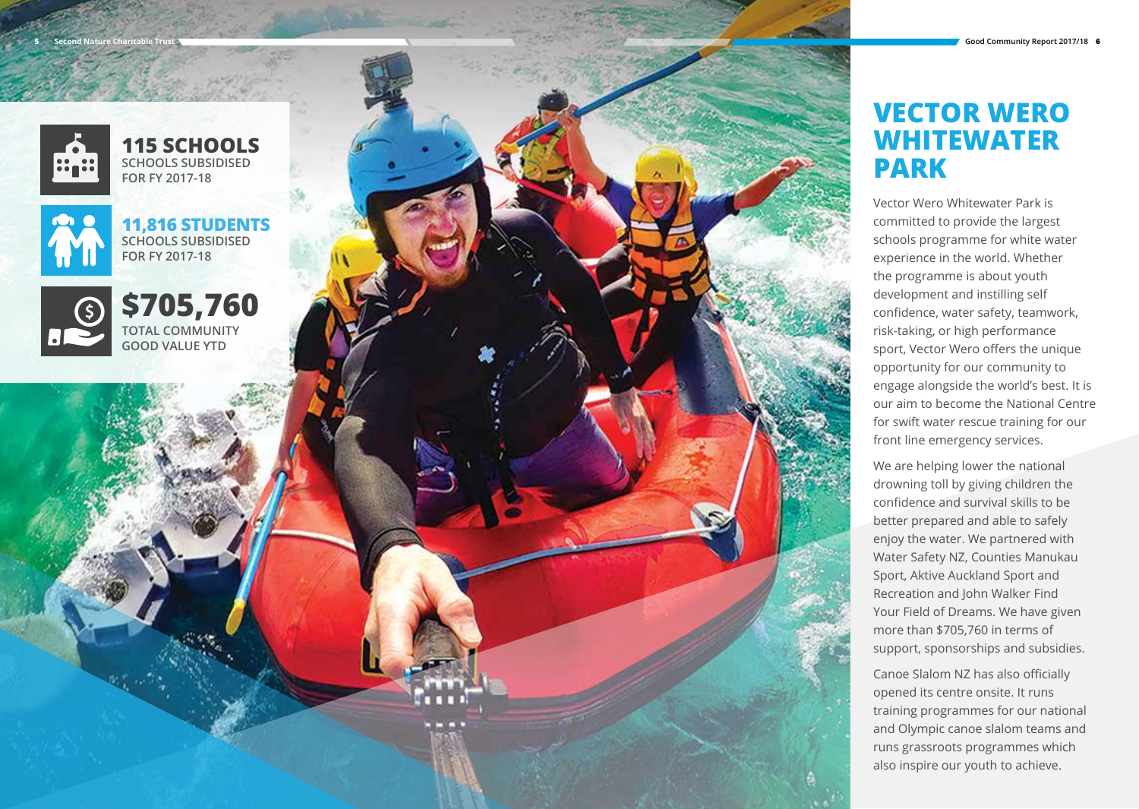

**115 SCHOOLS SCHOOLS SUBSIDISED FOR FY 2017-18**



**11,816 STUDENTS SCHOOLS SUBSIDISED FOR FY 2017-18**



**\$705,760 TOTAL COMMUNITY GOOD VALUE YTD**



### **VECTOR WERO WHITEWATER PARK**

Vector Wero Whitewater Park is committed to provide the largest schools programme for white water experience in the world. Whether the programme is about youth development and instilling self confidence, water safety, teamwork, risk-taking, or high performance sport, Vector Wero offers the unique opportunity for our community to engage alongside the world's best. It is our aim to become the National Centre for swift water rescue training for our front line emergency services.

We are helping lower the national drowning toll by giving children the confidence and survival skills to be better prepared and able to safely enjoy the water. We partnered with Water Safety NZ, Counties Manukau Sport, Aktive Auckland Sport and Recreation and John Walker Find Your Field of Dreams. We have given more than \$705,760 in terms of support, sponsorships and subsidies.

Canoe Slalom NZ has also officially opened its centre onsite. It runs training programmes for our national and Olympic canoe slalom teams and runs grassroots programmes which also inspire our youth to achieve.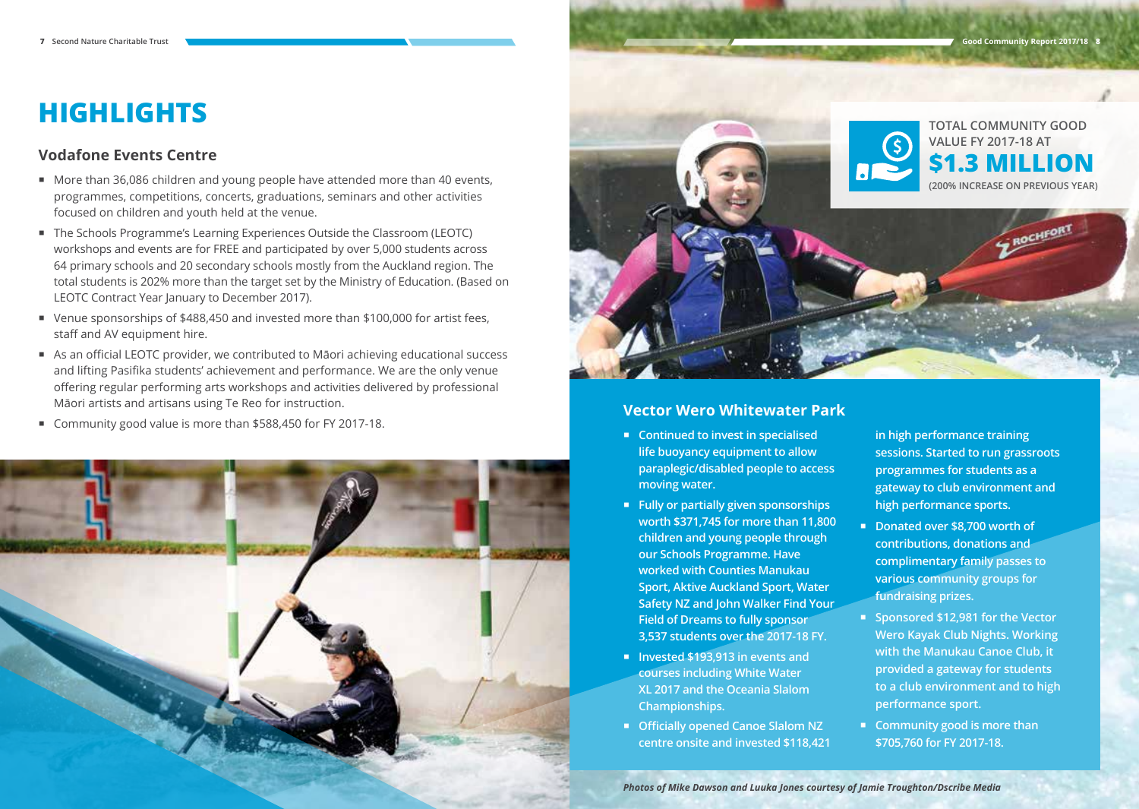# **HIGHLIGHTS**

#### **Vodafone Events Centre**

- More than 36,086 children and young people have attended more than 40 events, programmes, competitions, concerts, graduations, seminars and other activities focused on children and youth held at the venue.
- The Schools Programme's Learning Experiences Outside the Classroom (LEOTC) workshops and events are for FREE and participated by over 5,000 students across 64 primary schools and 20 secondary schools mostly from the Auckland region. The total students is 202% more than the target set by the Ministry of Education. (Based on LEOTC Contract Year January to December 2017).
- Venue sponsorships of \$488,450 and invested more than \$100,000 for artist fees, staff and AV equipment hire.
- As an official LEOTC provider, we contributed to Māori achieving educational success and lifting Pasifika students' achievement and performance. We are the only venue offering regular performing arts workshops and activities delivered by professional Māori artists and artisans using Te Reo for instruction.
- Community good value is more than \$588,450 for FY 2017-18.





#### **Vector Wero Whitewater Park**

- **Continued to invest in specialised life buoyancy equipment to allow paraplegic/disabled people to access moving water.**
- **Fully or partially given sponsorships worth \$371,745 for more than 11,800 children and young people through our Schools Programme. Have worked with Counties Manukau Sport, Aktive Auckland Sport, Water Safety NZ and John Walker Find Your Field of Dreams to fully sponsor 3,537 students over the 2017-18 FY.**
- **Invested \$193,913 in events and courses including White Water XL 2017 and the Oceania Slalom Championships.**
- **Officially opened Canoe Slalom NZ centre onsite and invested \$118,421**

**in high performance training sessions. Started to run grassroots programmes for students as a gateway to club environment and high performance sports.**

- Donated over \$8,700 worth of **contributions, donations and complimentary family passes to various community groups for fundraising prizes.**
- **Sponsored \$12,981 for the Vector Wero Kayak Club Nights. Working with the Manukau Canoe Club, it provided a gateway for students to a club environment and to high performance sport.**
- **Community good is more than \$705,760 for FY 2017-18.**

*Photos of Mike Dawson and Luuka Jones courtesy of Jamie Troughton/Dscribe Media*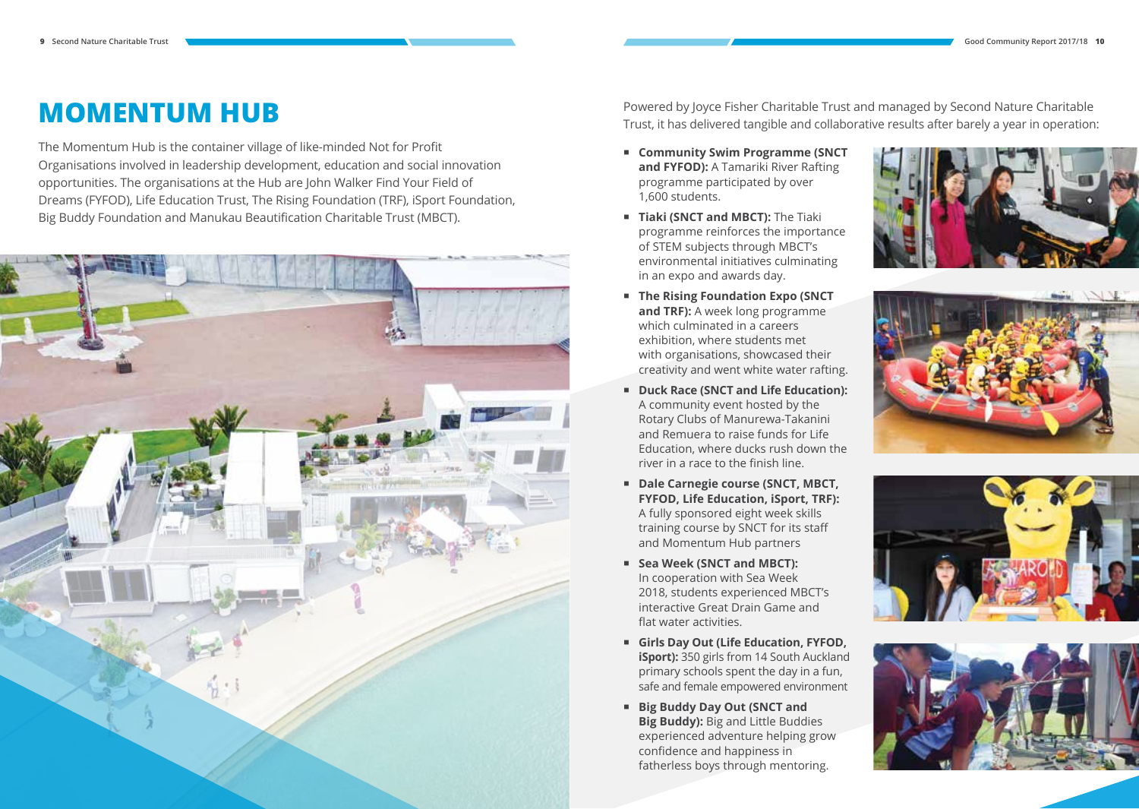# **MOMENTUM HUB**

The Momentum Hub is the container village of like-minded Not for Profit Organisations involved in leadership development, education and social innovation opportunities. The organisations at the Hub are John Walker Find Your Field of Dreams (FYFOD), Life Education Trust, The Rising Foundation (TRF), iSport Foundation, Big Buddy Foundation and Manukau Beautification Charitable Trust (MBCT).



Powered by Joyce Fisher Charitable Trust and managed by Second Nature Charitable Trust, it has delivered tangible and collaborative results after barely a year in operation:

- **Community Swim Programme (SNCT and FYFOD):** A Tamariki River Rafting programme participated by over 1,600 students.
- **F** Tiaki (SNCT and MBCT): The Tiaki programme reinforces the importance of STEM subjects through MBCT's environmental initiatives culminating in an expo and awards day.
- **The Rising Foundation Expo (SNCT and TRF):** A week long programme which culminated in a careers exhibition, where students met with organisations, showcased their creativity and went white water rafting.
- **Duck Race (SNCT and Life Education):** A community event hosted by the Rotary Clubs of Manurewa-Takanini and Remuera to raise funds for Life Education, where ducks rush down the river in a race to the finish line.
- **Dale Carnegie course (SNCT, MBCT, FYFOD, Life Education, iSport, TRF):**  A fully sponsored eight week skills training course by SNCT for its staff and Momentum Hub partners
- Sea Week (SNCT and MBCT): In cooperation with Sea Week 2018, students experienced MBCT's interactive Great Drain Game and flat water activities.
- **Girls Day Out (Life Education, FYFOD, iSport):** 350 girls from 14 South Auckland primary schools spent the day in a fun, safe and female empowered environment
- **Big Buddy Day Out (SNCT and Big Buddy):** Big and Little Buddies experienced adventure helping grow confidence and happiness in fatherless boys through mentoring.